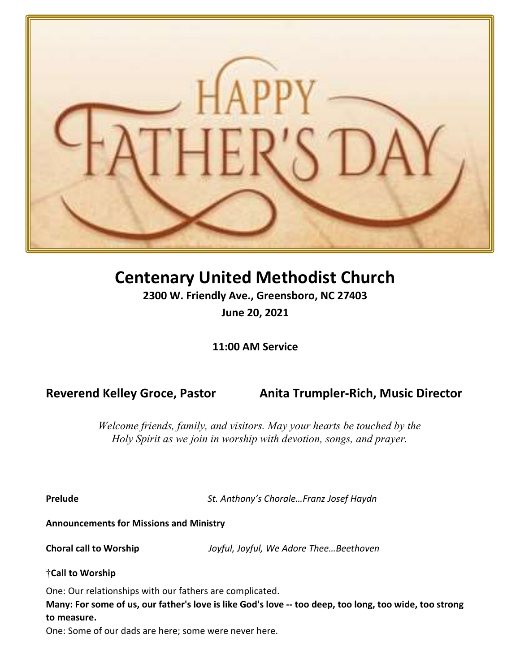

# Centenary United Methodist Church

2300 W. Friendly Ave., Greensboro, NC 27403 June 20, 2021

11:00 AM Service

Reverend Kelley Groce, Pastor Anita Trumpler-Rich, Music Director

Welcome friends, family, and visitors. May your hearts be touched by the Holy Spirit as we join in worship with devotion, songs, and prayer.

Prelude **St. Anthony's Chorale...Franz Josef Haydn** 

Announcements for Missions and Ministry

Choral call to Worship Joyful, Joyful, We Adore Thee…Beethoven

†Call to Worship

One: Our relationships with our fathers are complicated.

Many: For some of us, our father's love is like God's love -- too deep, too long, too wide, too strong to measure.

One: Some of our dads are here; some were never here.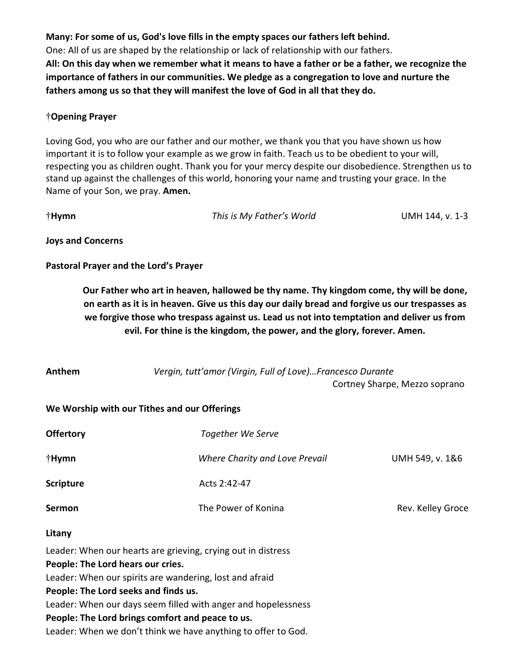Many: For some of us, God's love fills in the empty spaces our fathers left behind. One: All of us are shaped by the relationship or lack of relationship with our fathers. All: On this day when we remember what it means to have a father or be a father, we recognize the importance of fathers in our communities. We pledge as a congregation to love and nurture the fathers among us so that they will manifest the love of God in all that they do.

#### †Opening Prayer

Loving God, you who are our father and our mother, we thank you that you have shown us how important it is to follow your example as we grow in faith. Teach us to be obedient to your will, respecting you as children ought. Thank you for your mercy despite our disobedience. Strengthen us to stand up against the challenges of this world, honoring your name and trusting your grace. In the Name of your Son, we pray. Amen.

†Hymn This is My Father's World UMH 144, v. 1-3

Joys and Concerns

Pastoral Prayer and the Lord's Prayer

Our Father who art in heaven, hallowed be thy name. Thy kingdom come, thy will be done, on earth as it is in heaven. Give us this day our daily bread and forgive us our trespasses as we forgive those who trespass against us. Lead us not into temptation and deliver us from evil. For thine is the kingdom, the power, and the glory, forever. Amen.

| Anthem                            | Vergin, tutt'amor (Virgin, Full of Love)Francesco Durante    |                               |
|-----------------------------------|--------------------------------------------------------------|-------------------------------|
|                                   |                                                              | Cortney Sharpe, Mezzo soprano |
|                                   | We Worship with our Tithes and our Offerings                 |                               |
| <b>Offertory</b>                  | Together We Serve                                            |                               |
| †Hymn                             | Where Charity and Love Prevail                               | UMH 549, v. 1&6               |
| <b>Scripture</b>                  | Acts 2:42-47                                                 |                               |
| Sermon                            | The Power of Konina                                          | Rev. Kelley Groce             |
| Litany                            |                                                              |                               |
|                                   | Leader: When our hearts are grieving, crying out in distress |                               |
| People: The Lord hears our cries. |                                                              |                               |
|                                   | Leader: When our spirits are wandering, lost and afraid      |                               |

People: The Lord seeks and finds us.

Leader: When our days seem filled with anger and hopelessness

### People: The Lord brings comfort and peace to us.

Leader: When we don't think we have anything to offer to God.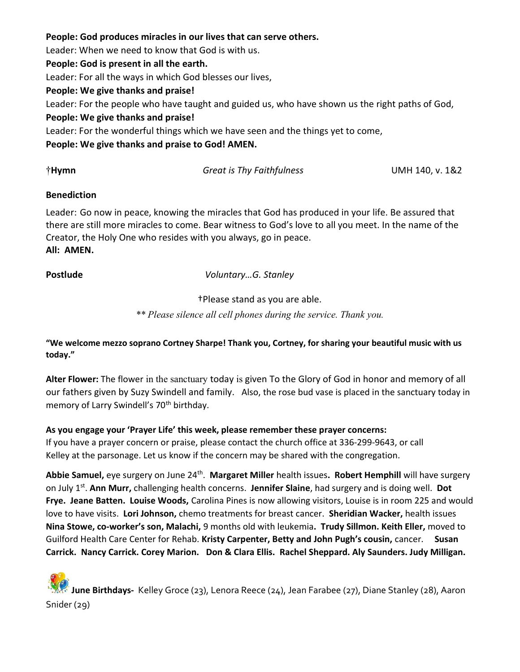#### People: God produces miracles in our lives that can serve others.

Leader: When we need to know that God is with us.

#### People: God is present in all the earth.

Leader: For all the ways in which God blesses our lives,

#### People: We give thanks and praise!

Leader: For the people who have taught and guided us, who have shown us the right paths of God,

#### People: We give thanks and praise!

Leader: For the wonderful things which we have seen and the things yet to come,

People: We give thanks and praise to God! AMEN.

†Hymn Great is Thy Faithfulness UMH 140, v. 1&2

#### Benediction

Leader: Go now in peace, knowing the miracles that God has produced in your life. Be assured that there are still more miracles to come. Bear witness to God's love to all you meet. In the name of the Creator, the Holy One who resides with you always, go in peace. All: AMEN.

Postlude Voluntary...G. Stanley

†Please stand as you are able.

\*\* Please silence all cell phones during the service. Thank you.

"We welcome mezzo soprano Cortney Sharpe! Thank you, Cortney, for sharing your beautiful music with us today."

Alter Flower: The flower in the sanctuary today is given To the Glory of God in honor and memory of all our fathers given by Suzy Swindell and family. Also, the rose bud vase is placed in the sanctuary today in memory of Larry Swindell's 70<sup>th</sup> birthday.

### As you engage your 'Prayer Life' this week, please remember these prayer concerns:

If you have a prayer concern or praise, please contact the church office at 336-299-9643, or call Kelley at the parsonage. Let us know if the concern may be shared with the congregation.

Abbie Samuel, eye surgery on June 24<sup>th</sup>. Margaret Miller health issues. Robert Hemphill will have surgery on July 1<sup>st</sup>. Ann Murr, challenging health concerns. Jennifer Slaine, had surgery and is doing well. Dot Frye. Jeane Batten. Louise Woods, Carolina Pines is now allowing visitors, Louise is in room 225 and would love to have visits. Lori Johnson, chemo treatments for breast cancer. Sheridian Wacker, health issues Nina Stowe, co-worker's son, Malachi, 9 months old with leukemia. Trudy Sillmon. Keith Eller, moved to Guilford Health Care Center for Rehab. Kristy Carpenter, Betty and John Pugh's cousin, cancer. Susan Carrick. Nancy Carrick. Corey Marion. Don & Clara Ellis. Rachel Sheppard. Aly Saunders. Judy Milligan.

## June Birthdays- Kelley Groce (23), Lenora Reece (24), Jean Farabee (27), Diane Stanley (28), Aaron Snider (29)